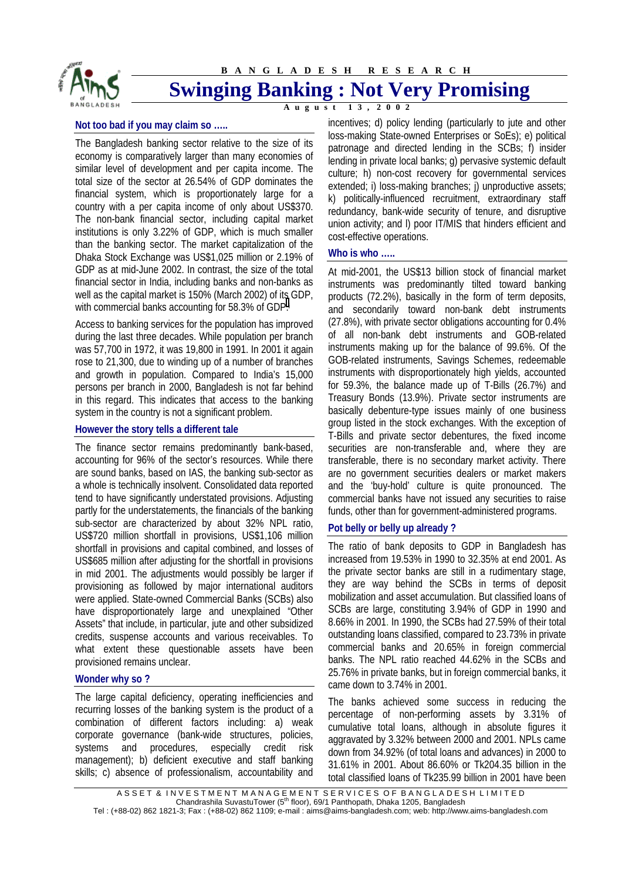

**BANGLADESH RESEARCH**

# **Swinging Banking : Not Very Promising**

A **u** g **u** s t

#### **Not too bad if you may claim so …..**

The Bangladesh banking sector relative to the size of its economy is comparatively larger than many economies of similar level of development and per capita income. The total size of the sector at 26.54% of GDP dominates the financial system, which is proportionately large for a country with a per capita income of only about US\$370. The non-bank financial sector, including capital market institutions is only 3.22% of GDP, which is much smaller than the banking sector. The market capitalization of the Dhaka Stock Exchange was US\$1,025 million or 2.19% of GDP as at mid-June 2002. In contrast, the size of the total financial sector in India, including banks and non-banks as well as the capital market is 150% (March 2002) of its GDP, with commercial banks accounting for 58[.](#page-1-0)3% of GDP.<sup>i</sup>

Access to banking services for the population has improved during the last three decades. While population per branch was 57,700 in 1972, it was 19,800 in 1991. In 2001 it again rose to 21,300, due to winding up of a number of branches and growth in population. Compared to India's 15,000 persons per branch in 2000, Bangladesh is not far behind in this regard. This indicates that access to the banking system in the country is not a significant problem.

# **However the story tells a different tale**

The finance sector remains predominantly bank-based, accounting for 96% of the sector's resources. While there are sound banks, based on IAS, the banking sub-sector as a whole is technically insolvent. Consolidated data reported tend to have significantly understated provisions. Adjusting partly for the understatements, the financials of the banking sub-sector are characterized by about 32% NPL ratio, US\$720 million shortfall in provisions, US\$1,106 million shortfall in provisions and capital combined, and losses of US\$685 million after adjusting for the shortfall in provisions in mid 2001. The adjustments would possibly be larger if provisioning as followed by major international auditors were applied. State-owned Commercial Banks (SCBs) also have disproportionately large and unexplained "Other Assets" that include, in particular, jute and other subsidized credits, suspense accounts and various receivables. To what extent these questionable assets have been provisioned remains unclear.

#### **Wonder why so ?**

The large capital deficiency, operating inefficiencies and recurring losses of the banking system is the product of a combination of different factors including: a) weak corporate governance (bank-wide structures, policies, systems and procedures, especially credit risk management); b) deficient executive and staff banking skills; c) absence of professionalism, accountability and incentives; d) policy lending (particularly to jute and other loss-making State-owned Enterprises or SoEs); e) political patronage and directed lending in the SCBs; f) insider lending in private local banks; g) pervasive systemic default culture; h) non-cost recovery for governmental services extended; i) loss-making branches; j) unproductive assets; k) politically-influenced recruitment, extraordinary staff redundancy, bank-wide security of tenure, and disruptive union activity; and l) poor IT/MIS that hinders efficient and cost-effective operations.

### **Who is who …..**

At mid-2001, the US\$13 billion stock of financial market instruments was predominantly tilted toward banking products (72.2%), basically in the form of term deposits, and secondarily toward non-bank debt instruments (27.8%), with private sector obligations accounting for 0.4% of all non-bank debt instruments and GOB-related instruments making up for the balance of 99.6%. Of the GOB-related instruments, Savings Schemes, redeemable instruments with disproportionately high yields, accounted for 59.3%, the balance made up of T-Bills (26.7%) and Treasury Bonds (13.9%). Private sector instruments are basically debenture-type issues mainly of one business group listed in the stock exchanges. With the exception of T-Bills and private sector debentures, the fixed income securities are non-transferable and, where they are transferable, there is no secondary market activity. There are no government securities dealers or market makers and the 'buy-hold' culture is quite pronounced. The commercial banks have not issued any securities to raise funds, other than for government-administered programs.

# **Pot belly or belly up already ?**

The ratio of bank deposits to GDP in Bangladesh has increased from 19.53% in 1990 to 32.35% at end 2001. As the private sector banks are still in a rudimentary stage, they are way behind the SCBs in terms of deposit mobilization and asset accumulation. But classified loans of SCBs are large, constituting 3.94% of GDP in 1990 and 8.66% in 2001. In 1990, the SCBs had 27.59% of their total outstanding loans classified, compared to 23.73% in private commercial banks and 20.65% in foreign commercial banks. The NPL ratio reached 44.62% in the SCBs and 25.76% in private banks, but in foreign commercial banks, it came down to 3.74% in 2001.

The banks achieved some success in reducing the percentage of non-performing assets by 3.31% of cumulative total loans, although in absolute figures it aggravated by 3.32% between 2000 and 2001. NPLs came down from 34.92% (of total loans and advances) in 2000 to 31.61% in 2001. About 86.60% or Tk204.35 billion in the total classified loans of Tk235.99 billion in 2001 have been

A S S E T & IN VESTMENT MANAGEMENT SERVICES OF BANGLADE SH LIMITED Chandrashila SuvastuTower (5th floor), 69/1 Panthopath, Dhaka 1205, Bangladesh Tel : (+88-02) 862 1821-3; Fax : (+88-02) 862 1109; e-mail : aims@aims-bangladesh.com; web: http://www.aims-bangladesh.com